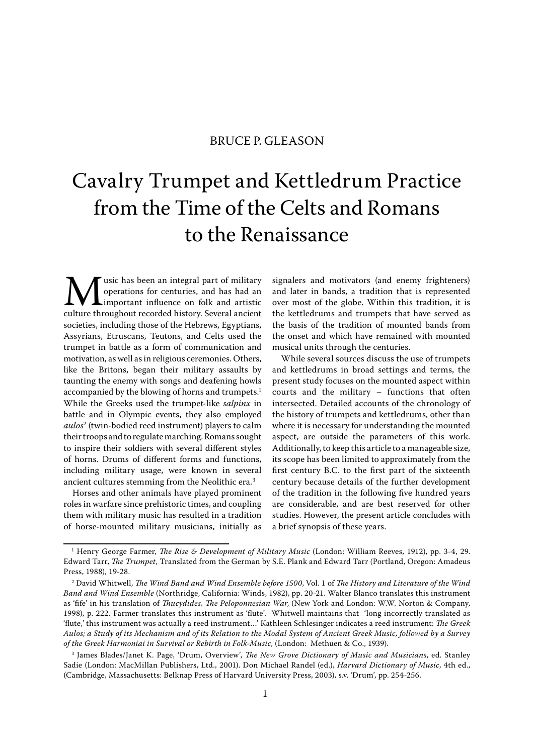## BRUCE P. GLEASON

# Cavalry Trumpet and Kettledrum Practice from the Time of the Celts and Romans to the Renaissance

**M**usic has been an integral part of military<br>operations for centuries, and has had an<br>culture throughout recorded history. Several ancient operations for centuries, and has had an important influence on folk and artistic culture throughout recorded history. Several ancient societies, including those of the Hebrews, Egyptians, Assyrians, Etruscans, Teutons, and Celts used the trumpet in battle as a form of communication and motivation, as well as in religious ceremonies. Others, like the Britons, began their military assaults by taunting the enemy with songs and deafening howls accompanied by the blowing of horns and trumpets.<sup>1</sup> While the Greeks used the trumpet-like salpinx in battle and in Olympic events, they also employed *aulos*<sup>2</sup> (twin-bodied reed instrument) players to calm their troops and to regulate marching. Romans sought to inspire their soldiers with several different styles of horns. Drums of different forms and functions, including military usage, were known in several ancient cultures stemming from the Neolithic era.3

Horses and other animals have played prominent roles in warfare since prehistoric times, and coupling them with military music has resulted in a tradition of horse-mounted military musicians, initially as signalers and motivators (and enemy frighteners) and later in bands, a tradition that is represented over most of the globe. Within this tradition, it is the kettledrums and trumpets that have served as the basis of the tradition of mounted bands from the onset and which have remained with mounted musical units through the centuries.

While several sources discuss the use of trumpets and kettledrums in broad settings and terms, the present study focuses on the mounted aspect within courts and the military – functions that often intersected. Detailed accounts of the chronology of the history of trumpets and kettledrums, other than where it is necessary for understanding the mounted aspect, are outside the parameters of this work. Additionally, to keep this article to a manageable size, its scope has been limited to approximately from the first century B.C. to the first part of the sixteenth century because details of the further development of the tradition in the following five hundred years are considerable, and are best reserved for other studies. However, the present article concludes with a brief synopsis of these years.

 $^1$  Henry George Farmer, *The Rise & Development of Military Music* (London: William Reeves, 1912), pp. 3-4, 29. Edward Tarr, The Trumpet, Translated from the German by S.E. Plank and Edward Tarr (Portland, Oregon: Amadeus Press, 1988), 19-28.

 $^{\rm 2}$  David Whitwell, *The Wind Band and Wind Ensemble before 1500,* Vol. 1 of *The History and Literature of the Wind* Band and Wind Ensemble (Northridge, California: Winds, 1982), pp. 20-21. Walter Blanco translates this instrument as 'fife' in his translation of *Thucydides, The Peloponnesian War*, (New York and London: W.W. Norton & Company, 1998), p. 222. Farmer translates this instrument as 'flute'. Whitwell maintains that 'long incorrectly translated as 'flute,' this instrument was actually a reed instrument...' Kathleen Schlesinger indicates a reed instrument: The Greek Aulos; a Study of its Mechanism and of its Relation to the Modal System of Ancient Greek Music, followed by a Survey of the Greek Harmoniai in Survival or Rebirth in Folk-Music, (London: Methuen & Co., 1939).

<sup>&</sup>lt;sup>3</sup> James Blades/Janet K. Page, 'Drum, Overview', *The New Grove Dictionary of Music and Musicians*, ed. Stanley Sadie (London: MacMillan Publishers, Ltd., 2001). Don Michael Randel (ed.), Harvard Dictionary of Music, 4th ed., (Cambridge, Massachusetts: Belknap Press of Harvard University Press, 2003), s.v. 'Drum', pp. 254-256.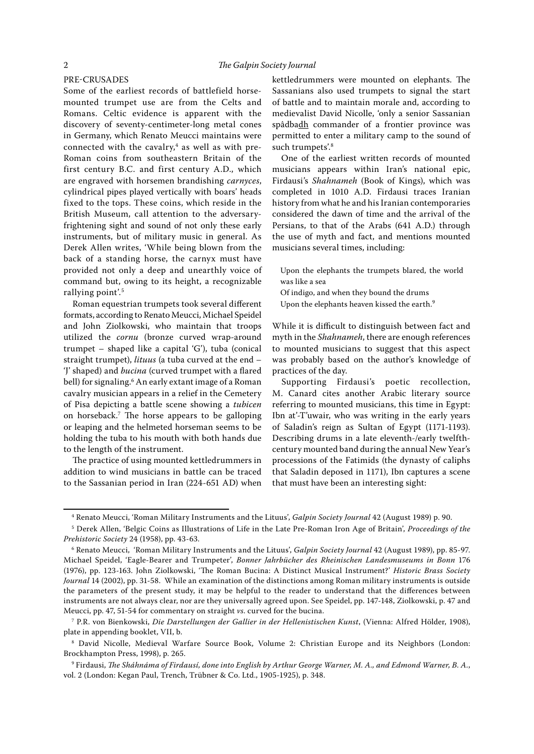#### PRE-CRUSADES

Some of the earliest records of battlefield horsemounted trumpet use are from the Celts and Romans. Celtic evidence is apparent with the discovery of seventy-centimeter-long metal cones in Germany, which Renato Meucci maintains were connected with the cavalry, $4$  as well as with pre-Roman coins from southeastern Britain of the first century B.C. and first century A.D., which are engraved with horsemen brandishing carnyces, cylindrical pipes played vertically with boars' heads fixed to the tops. These coins, which reside in the British Museum, call attention to the adversaryfrightening sight and sound of not only these early instruments, but of military music in general. As Derek Allen writes, 'While being blown from the back of a standing horse, the carnyx must have provided not only a deep and unearthly voice of command but, owing to its height, a recognizable rallying point'.<sup>5</sup>

Roman equestrian trumpets took several different formats, according to Renato Meucci, Michael Speidel and John Ziolkowski, who maintain that troops utilized the cornu (bronze curved wrap-around trumpet – shaped like a capital 'G'), tuba (conical straight trumpet), lituus (a tuba curved at the end -'J' shaped) and bucina (curved trumpet with a flared bell) for signaling.6 An early extant image of a Roman cavalry musician appears in a relief in the Cemetery of Pisa depicting a battle scene showing a tubicen on horseback.<sup>7</sup> The horse appears to be galloping or leaping and the helmeted horseman seems to be holding the tuba to his mouth with both hands due to the length of the instrument.

The practice of using mounted kettledrummers in addition to wind musicians in battle can be traced to the Sassanian period in Iran (224-651 AD) when kettledrummers were mounted on elephants. The Sassanians also used trumpets to signal the start of battle and to maintain morale and, according to medievalist David Nicolle, 'only a senior Sassanian spâdbadh commander of a frontier province was permitted to enter a military camp to the sound of such trumpets'.<sup>8</sup>

One of the earliest written records of mounted musicians appears within Iran's national epic, Firdausi's Shahnameh (Book of Kings), which was completed in 1010 A.D. Firdausi traces Iranian history from what he and his Iranian contemporaries considered the dawn of time and the arrival of the Persians, to that of the Arabs (641 A.D.) through the use of myth and fact, and mentions mounted musicians several times, including:

- Upon the elephants the trumpets blared, the world was like a sea
- Of indigo, and when they bound the drums
- Upon the elephants heaven kissed the earth.<sup>9</sup>

While it is difficult to distinguish between fact and myth in the Shahnameh, there are enough references to mounted musicians to suggest that this aspect was probably based on the author's knowledge of practices of the day.

Supporting Firdausi's poetic recollection, M. Canard cites another Arabic literary source referring to mounted musicians, this time in Egypt: Ibn at'-T'uwair, who was writing in the early years of Saladin's reign as Sultan of Egypt (1171-1193). Describing drums in a late eleventh-/early twelfthcentury mounted band during the annual New Year's processions of the Fatimids (the dynasty of caliphs that Saladin deposed in 1171), Ibn captures a scene that must have been an interesting sight:

<sup>&</sup>lt;sup>4</sup> Renato Meucci, 'Roman Military Instruments and the Lituus', *Galpin Society Journal* 42 (August 1989) p. 90.

 $^5$  Derek Allen, 'Belgic Coins as Illustrations of Life in the Late Pre-Roman Iron Age of Britain', *Proceedings of the* Prehistoric Society 24 (1958), pp. 43-63.

<sup>&</sup>lt;sup>6</sup> Renato Meucci, 'Roman Military Instruments and the Lituus', *Galpin Society Journal* 42 (August 1989), pp. 85-97. Michael Speidel, 'Eagle-Bearer and Trumpeter', Bonner Jahrbücher des Rheinischen Landesmuseums in Bonn 176 (1976), pp. 123-163. John Ziolkowski, 'The Roman Bucina: A Distinct Musical Instrument?' Historic Brass Society Journal 14 (2002), pp. 31-58. While an examination of the distinctions among Roman military instruments is outside the parameters of the present study, it may be helpful to the reader to understand that the differences between instruments are not always clear, nor are they universally agreed upon. See Speidel, pp. 147-148, Ziolkowski, p. 47 and Meucci, pp. 47, 51-54 for commentary on straight vs. curved for the bucina.

<sup>&</sup>lt;sup>7</sup> P.R. von Bienkowski, *Die Darstellungen der Gallier in der Hellenistischen Kunst*, (Vienna: Alfred Hölder, 1908), plate in appending booklet, VII, b.

<sup>8</sup> David Nicolle, Medieval Warfare Source Book, Volume 2: Christian Europe and its Neighbors (London: Brockhampton Press, 1998), p. 265.

<sup>°</sup> Firdausi, *The Sháhnáma of Firdausí, done into English by Arthur George Warner, M. A., and Edmond Warner, B. A.,* vol. 2 (London: Kegan Paul, Trench, Trübner & Co. Ltd., 1905-1925), p. 348.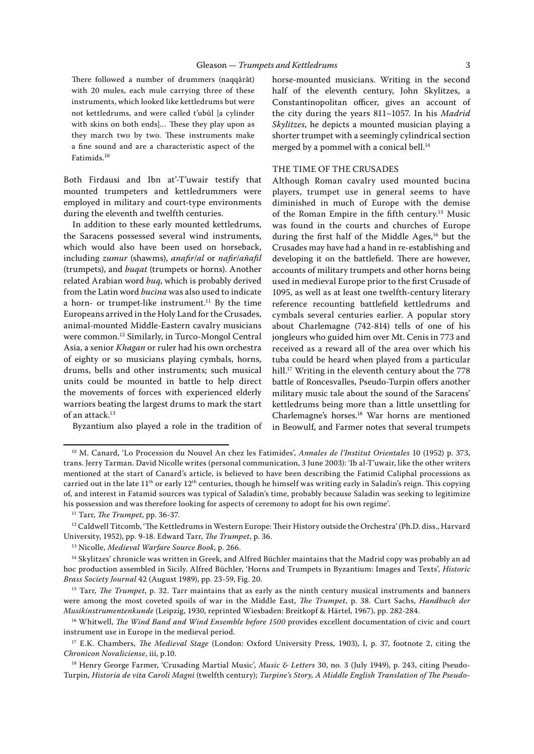There followed a number of drummers (naqqârât) with 20 mules, each mule carrying three of these instruments, which looked like kettledrums but were not kettledrums, and were called t'ubûl [a cylinder with skins on both ends]... These they play upon as they march two by two. These instruments make a fine sound and are a characteristic aspect of the Fatimids.<sup>10</sup>

Both Firdausi and Ibn at'-T'uwair testify that mounted trumpeters and kettledrummers were employed in military and court-type environments during the eleventh and twelfth centuries.

In addition to these early mounted kettledrums, the Saracens possessed several wind instruments, which would also have been used on horseback, including zumur (shawms), anafir/al or nafir/añafil (trumpets), and buqat (trumpets or horns). Another related Arabian word buq, which is probably derived from the Latin word bucina was also used to indicate a horn- or trumpet-like instrument.<sup>11</sup> By the time Europeans arrived in the Holy Land for the Crusades, animal-mounted Middle-Eastern cavalry musicians were common.12 Similarly, in Turco-Mongol Central Asia, a senior Khagan or ruler had his own orchestra of eighty or so musicians playing cymbals, horns, drums, bells and other instruments; such musical units could be mounted in battle to help direct the movements of forces with experienced elderly warriors beating the largest drums to mark the start of an attack.13

Byzantium also played a role in the tradition of

horse-mounted musicians. Writing in the second half of the eleventh century, John Skylitzes, a Constantinopolitan officer, gives an account of the city during the years 811–1057. In his Madrid Skylitzes, he depicts a mounted musician playing a shorter trumpet with a seemingly cylindrical section merged by a pommel with a conical bell.<sup>14</sup>

## THE TIME OF THE CRUSADES

Although Roman cavalry used mounted bucina players, trumpet use in general seems to have diminished in much of Europe with the demise of the Roman Empire in the fifth century.15 Music was found in the courts and churches of Europe during the first half of the Middle Ages,<sup>16</sup> but the Crusades may have had a hand in re-establishing and developing it on the battlefield. There are however, accounts of military trumpets and other horns being used in medieval Europe prior to the first Crusade of 1095, as well as at least one twelfth-century literary reference recounting battlefield kettledrums and cymbals several centuries earlier. A popular story about Charlemagne (742-814) tells of one of his jongleurs who guided him over Mt. Cenis in 773 and received as a reward all of the area over which his tuba could be heard when played from a particular hill.<sup>17</sup> Writing in the eleventh century about the 778 battle of Roncesvalles, Pseudo-Turpin offers another military music tale about the sound of the Saracens' kettledrums being more than a little unsettling for Charlemagne's horses.18 War horns are mentioned in Beowulf, and Farmer notes that several trumpets

<sup>&</sup>lt;sup>10</sup> M. Canard, 'Lo Procession du Nouvel An chez les Fatimides', Annales de l'Institut Orientales 10 (1952) p. 373, trans. Jerry Tarman. David Nicolle writes (personal communication, 3 June 2003): 'Ib al-T'uwair, like the other writers mentioned at the start of Canard's article, is believed to have been describing the Fatimid Caliphal processions as carried out in the late  $11<sup>th</sup>$  or early  $12<sup>th</sup>$  centuries, though he himself was writing early in Saladin's reign. This copying of, and interest in Fatamid sources was typical of Saladin's time, probably because Saladin was seeking to legitimize his possession and was therefore looking for aspects of ceremony to adopt for his own regime'.

 $11$  Tarr, The Trumpet, pp. 36-37.

<sup>&</sup>lt;sup>12</sup> Caldwell Titcomb, 'The Kettledrums in Western Europe: Their History outside the Orchestra' (Ph.D. diss., Harvard University, 1952), pp. 9-18. Edward Tarr, The Trumpet, p. 36.

<sup>&</sup>lt;sup>13</sup> Nicolle, Medieval Warfare Source Book, p. 266.

<sup>14</sup> Skylitzes' chronicle was written in Greek, and Alfred Büchler maintains that the Madrid copy was probably an ad hoc production assembled in Sicily. Alfred Büchler, 'Horns and Trumpets in Byzantium: Images and Texts', Historic Brass Society Journal 42 (August 1989), pp. 23-59, Fig. 20.

 $15$  Tarr, The Trumpet, p. 32. Tarr maintains that as early as the ninth century musical instruments and banners were among the most coveted spoils of war in the Middle East, The Trumpet, p. 38. Curt Sachs, Handbuch der Musikinstrumentenkunde (Leipzig, 1930, reprinted Wiesbaden: Breitkopf & Härtel, 1967), pp. 282-284.

<sup>&</sup>lt;sup>16</sup> Whitwell, *The Wind Band and Wind Ensemble before 1500* provides excellent documentation of civic and court instrument use in Europe in the medieval period.

<sup>&</sup>lt;sup>17</sup> E.K. Chambers, *The Medieval Stage* (London: Oxford University Press, 1903), I, p. 37, footnote 2, citing the Chronicon Novaliciense, iii, p.10.

<sup>&</sup>lt;sup>18</sup> Henry George Farmer, 'Crusading Martial Music', Music & Letters 30, no. 3 (July 1949), p. 243, citing Pseudo-Turpin, Historia de vita Caroli Magni (twelfth century); Turpine's Story, A Middle English Translation of The Pseudo-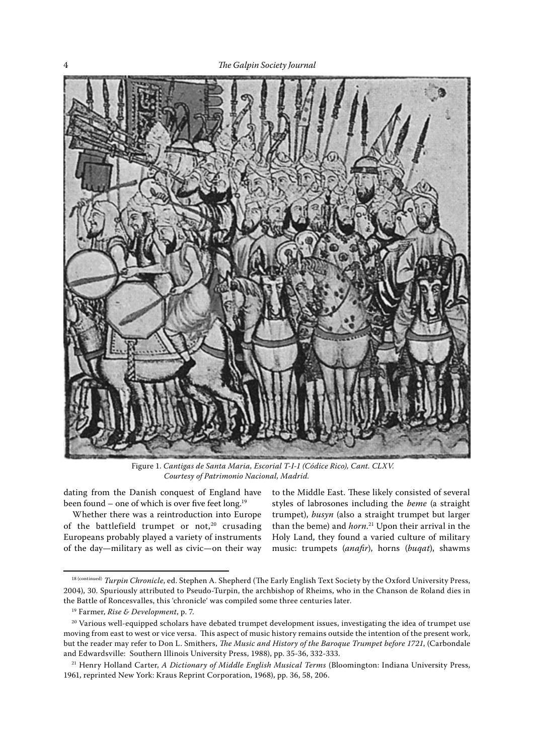

Figure 1. Cantigas de Santa Maria, Escorial T-I-1 (Códice Rico), Cant. CLXV. Courtesy of Patrimonio Nacional, Madrid.

dating from the Danish conquest of England have been found – one of which is over five feet long.<sup>19</sup>

Whether there was a reintroduction into Europe of the battlefield trumpet or not, $20$  crusading Europeans probably played a variety of instruments of the day—military as well as civic—on their way to the Middle East. These likely consisted of several styles of labrosones including the beme (a straight trumpet), busyn (also a straight trumpet but larger than the beme) and *horn*.<sup>21</sup> Upon their arrival in the Holy Land, they found a varied culture of military music: trumpets (anafir), horns (buqat), shawms

<sup>18 (</sup>continued) Turpin Chronicle, ed. Stephen A. Shepherd (The Early English Text Society by the Oxford University Press, 2004), 30. Spuriously attributed to Pseudo-Turpin, the archbishop of Rheims, who in the Chanson de Roland dies in the Battle of Roncesvalles, this 'chronicle' was compiled some three centuries later.

<sup>&</sup>lt;sup>19</sup> Farmer, Rise & Development, p. 7.

<sup>&</sup>lt;sup>20</sup> Various well-equipped scholars have debated trumpet development issues, investigating the idea of trumpet use moving from east to west or vice versa. This aspect of music history remains outside the intention of the present work, but the reader may refer to Don L. Smithers, *The Music and History of the Baroque Trumpet before 1721*, (Carbondale and Edwardsville: Southern Illinois University Press, 1988), pp. 35-36, 332-333.

<sup>&</sup>lt;sup>21</sup> Henry Holland Carter, A Dictionary of Middle English Musical Terms (Bloomington: Indiana University Press, 1961, reprinted New York: Kraus Reprint Corporation, 1968), pp. 36, 58, 206.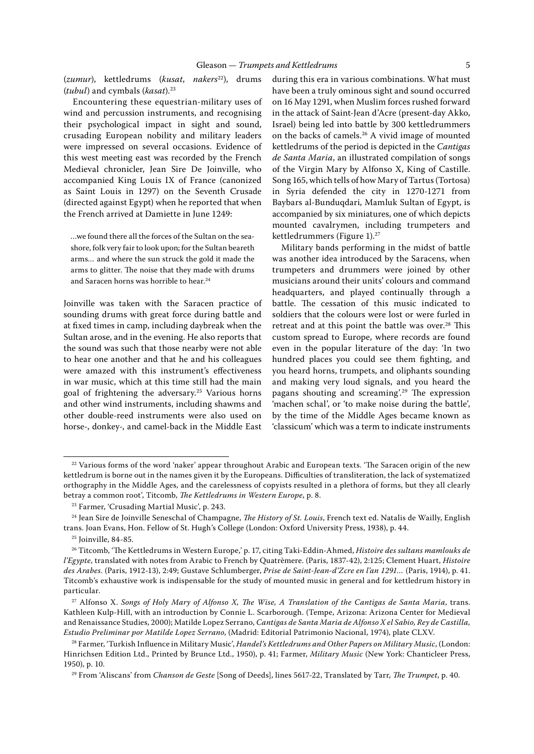(zumur), kettledrums (kusat, nakers<sup>22</sup>), drums (tubul) and cymbals (kasat). $23$ 

Encountering these equestrian-military uses of wind and percussion instruments, and recognising their psychological impact in sight and sound, crusading European nobility and military leaders were impressed on several occasions. Evidence of this west meeting east was recorded by the French Medieval chronicler, Jean Sire De Joinville, who accompanied King Louis IX of France (canonized as Saint Louis in 1297) on the Seventh Crusade (directed against Egypt) when he reported that when the French arrived at Damiette in June 1249:

…we found there all the forces of the Sultan on the seashore, folk very fair to look upon; for the Sultan beareth arms… and where the sun struck the gold it made the arms to glitter. The noise that they made with drums and Saracen horns was horrible to hear.<sup>24</sup>

Joinville was taken with the Saracen practice of sounding drums with great force during battle and at fixed times in camp, including daybreak when the Sultan arose, and in the evening. He also reports that the sound was such that those nearby were not able to hear one another and that he and his colleagues were amazed with this instrument's effectiveness in war music, which at this time still had the main goal of frightening the adversary.25 Various horns and other wind instruments, including shawms and other double-reed instruments were also used on horse-, donkey-, and camel-back in the Middle East during this era in various combinations. What must have been a truly ominous sight and sound occurred on 16 May 1291, when Muslim forces rushed forward in the attack of Saint-Jean d'Acre (present-day Akko, Israel) being led into battle by 300 kettledrummers on the backs of camels.26 A vivid image of mounted kettledrums of the period is depicted in the Cantigas de Santa Maria, an illustrated compilation of songs of the Virgin Mary by Alfonso X, King of Castille. Song 165, which tells of how Mary of Tartus (Tortosa) in Syria defended the city in 1270-1271 from Baybars al-Bunduqdari, Mamluk Sultan of Egypt, is accompanied by six miniatures, one of which depicts mounted cavalrymen, including trumpeters and kettledrummers (Figure 1).<sup>27</sup>

Military bands performing in the midst of battle was another idea introduced by the Saracens, when trumpeters and drummers were joined by other musicians around their units' colours and command headquarters, and played continually through a battle. The cessation of this music indicated to soldiers that the colours were lost or were furled in retreat and at this point the battle was over.<sup>28</sup> This custom spread to Europe, where records are found even in the popular literature of the day: 'In two hundred places you could see them fighting, and you heard horns, trumpets, and oliphants sounding and making very loud signals, and you heard the pagans shouting and screaming'.<sup>29</sup> The expression 'machen schal', or 'to make noise during the battle', by the time of the Middle Ages became known as 'classicum' which was a term to indicate instruments

<sup>24</sup> Jean Sire de Joinville Seneschal of Champagne, *The History of St. Louis*, French text ed. Natalis de Wailly, English trans. Joan Evans, Hon. Fellow of St. Hugh's College (London: Oxford University Press, 1938), p. 44.

<sup>&</sup>lt;sup>22</sup> Various forms of the word 'naker' appear throughout Arabic and European texts. 'The Saracen origin of the new kettledrum is borne out in the names given it by the Europeans. Difficulties of transliteration, the lack of systematized orthography in the Middle Ages, and the carelessness of copyists resulted in a plethora of forms, but they all clearly betray a common root', Titcomb, The Kettledrums in Western Europe, p. 8.

<sup>23</sup> Farmer, 'Crusading Martial Music', p. 243.

<sup>25</sup> Joinville, 84-85.

<sup>&</sup>lt;sup>26</sup> Titcomb, 'The Kettledrums in Western Europe,' p. 17, citing Taki-Eddin-Ahmed, Histoire des sultans mamlouks de l'Egypte, translated with notes from Arabic to French by Quatrèmere. (Paris, 1837-42), 2:125; Clement Huart, Histoire des Arabes. (Paris, 1912-13), 2:49; Gustave Schlumberger, Prise de Saint-Jean-d'Zcre en l'an 1291… (Paris, 1914), p. 41. Titcomb's exhaustive work is indispensable for the study of mounted music in general and for kettledrum history in particular.

 $27$  Alfonso X. Songs of Holy Mary of Alfonso X, The Wise, A Translation of the Cantigas de Santa Maria, trans. Kathleen Kulp-Hill, with an introduction by Connie L. Scarborough. (Tempe, Arizona: Arizona Center for Medieval and Renaissance Studies, 2000); Matilde Lopez Serrano, Cantigas de Santa Maria de Alfonso X el Sabio, Rey de Castilla, Estudio Preliminar por Matilde Lopez Serrano, (Madrid: Editorial Patrimonio Nacional, 1974), plate CLXV.

<sup>&</sup>lt;sup>28</sup> Farmer, 'Turkish Influence in Military Music', *Handel's Kettledrums and Other Papers on Military Music*, (London: Hinrichsen Edition Ltd., Printed by Brunce Ltd., 1950), p. 41; Farmer, Military Music (New York: Chanticleer Press, 1950), p. 10.

<sup>&</sup>lt;sup>29</sup> From 'Aliscans' from *Chanson de Geste* [Song of Deeds], lines 5617-22, Translated by Tarr, *The Trumpet*, p. 40.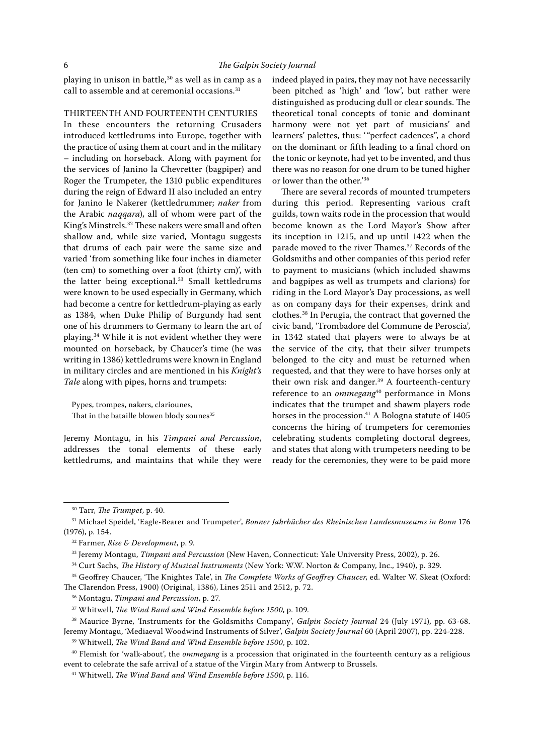playing in unison in battle,<sup>30</sup> as well as in camp as a call to assemble and at ceremonial occasions.31

## THIRTEENTH AND FOURTEENTH CENTURIES

In these encounters the returning Crusaders introduced kettledrums into Europe, together with the practice of using them at court and in the military – including on horseback. Along with payment for the services of Janino la Chevretter (bagpiper) and Roger the Trumpeter, the 1310 public expenditures during the reign of Edward II also included an entry for Janino le Nakerer (kettledrummer; naker from the Arabic naqqara), all of whom were part of the King's Minstrels.<sup>32</sup> These nakers were small and often shallow and, while size varied, Montagu suggests that drums of each pair were the same size and varied 'from something like four inches in diameter (ten cm) to something over a foot (thirty cm)', with the latter being exceptional.<sup>33</sup> Small kettledrums were known to be used especially in Germany, which had become a centre for kettledrum-playing as early as 1384, when Duke Philip of Burgundy had sent one of his drummers to Germany to learn the art of playing.34 While it is not evident whether they were mounted on horseback, by Chaucer's time (he was writing in 1386) kettledrums were known in England in military circles and are mentioned in his Knight's Tale along with pipes, horns and trumpets:

Pypes, trompes, nakers, clariounes, That in the bataille blowen blody sounes<sup>35</sup>

Jeremy Montagu, in his Timpani and Percussion, addresses the tonal elements of these early kettledrums, and maintains that while they were

indeed played in pairs, they may not have necessarily been pitched as 'high' and 'low', but rather were distinguished as producing dull or clear sounds. The theoretical tonal concepts of tonic and dominant harmony were not yet part of musicians' and learners' palettes, thus: '"perfect cadences", a chord on the dominant or fifth leading to a final chord on the tonic or keynote, had yet to be invented, and thus there was no reason for one drum to be tuned higher or lower than the other.'36

There are several records of mounted trumpeters during this period. Representing various craft guilds, town waits rode in the procession that would become known as the Lord Mayor's Show after its inception in 1215, and up until 1422 when the parade moved to the river Thames.<sup>37</sup> Records of the Goldsmiths and other companies of this period refer to payment to musicians (which included shawms and bagpipes as well as trumpets and clarions) for riding in the Lord Mayor's Day processions, as well as on company days for their expenses, drink and clothes.38 In Perugia, the contract that governed the civic band, 'Trombadore del Commune de Peroscia', in 1342 stated that players were to always be at the service of the city, that their silver trumpets belonged to the city and must be returned when requested, and that they were to have horses only at their own risk and danger.<sup>39</sup> A fourteenth-century reference to an ommegang<sup>40</sup> performance in Mons indicates that the trumpet and shawm players rode horses in the procession.<sup>41</sup> A Bologna statute of 1405 concerns the hiring of trumpeters for ceremonies celebrating students completing doctoral degrees, and states that along with trumpeters needing to be ready for the ceremonies, they were to be paid more

 $30$  Tarr, The Trumpet, p. 40.

<sup>&</sup>lt;sup>31</sup> Michael Speidel, 'Eagle-Bearer and Trumpeter', Bonner Jahrbücher des Rheinischen Landesmuseums in Bonn 176 (1976), p. 154.

 $32$  Farmer, Rise & Development, p. 9.

<sup>&</sup>lt;sup>33</sup> Jeremy Montagu, Timpani and Percussion (New Haven, Connecticut: Yale University Press, 2002), p. 26.

<sup>&</sup>lt;sup>34</sup> Curt Sachs, *The History of Musical Instruments* (New York: W.W. Norton & Company, Inc., 1940), p. 329.

<sup>&</sup>lt;sup>35</sup> Geoffrey Chaucer, 'The Knightes Tale', in *The Complete Works of Geoffrey Chaucer*, ed. Walter W. Skeat (Oxford: The Clarendon Press, 1900) (Original, 1386), Lines 2511 and 2512, p. 72.

<sup>&</sup>lt;sup>36</sup> Montagu, Timpani and Percussion, p. 27.

 $37$  Whitwell, The Wind Band and Wind Ensemble before 1500, p. 109.

<sup>&</sup>lt;sup>38</sup> Maurice Byrne, 'Instruments for the Goldsmiths Company', Galpin Society Journal 24 (July 1971), pp. 63-68. Jeremy Montagu, 'Mediaeval Woodwind Instruments of Silver', Galpin Society Journal 60 (April 2007), pp. 224-228.

 $39$  Whitwell, The Wind Band and Wind Ensemble before 1500, p. 102.

 $40$  Flemish for 'walk-about', the *ommegang* is a procession that originated in the fourteenth century as a religious event to celebrate the safe arrival of a statue of the Virgin Mary from Antwerp to Brussels.

 $41$  Whitwell, The Wind Band and Wind Ensemble before 1500, p. 116.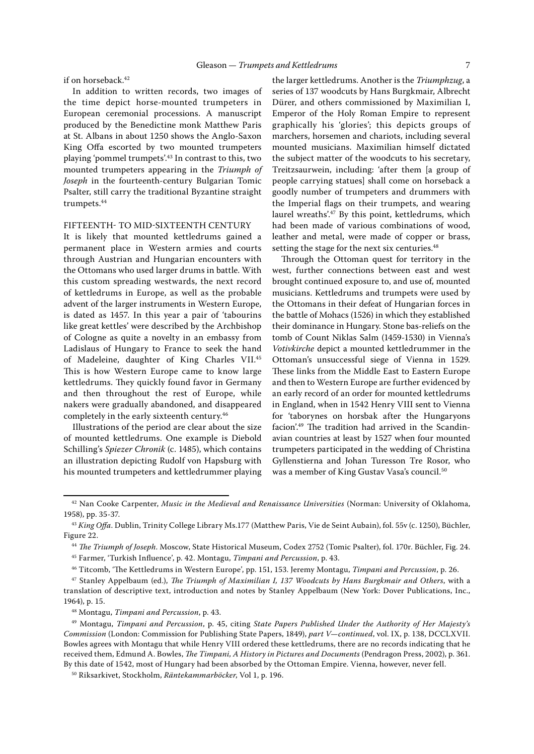## if on horseback.<sup>42</sup>

In addition to written records, two images of the time depict horse-mounted trumpeters in European ceremonial processions. A manuscript produced by the Benedictine monk Matthew Paris at St. Albans in about 1250 shows the Anglo-Saxon King Offa escorted by two mounted trumpeters playing 'pommel trumpets'.43 In contrast to this, two mounted trumpeters appearing in the Triumph of Joseph in the fourteenth-century Bulgarian Tomic Psalter, still carry the traditional Byzantine straight trumpets.<sup>44</sup>

### FIFTEENTH- TO MID-SIXTEENTH CENTURY

It is likely that mounted kettledrums gained a permanent place in Western armies and courts through Austrian and Hungarian encounters with the Ottomans who used larger drums in battle. With this custom spreading westwards, the next record of kettledrums in Europe, as well as the probable advent of the larger instruments in Western Europe, is dated as 1457. In this year a pair of 'tabourins like great kettles' were described by the Archbishop of Cologne as quite a novelty in an embassy from Ladislaus of Hungary to France to seek the hand of Madeleine, daughter of King Charles VII.45 This is how Western Europe came to know large kettledrums. They quickly found favor in Germany and then throughout the rest of Europe, while nakers were gradually abandoned, and disappeared completely in the early sixteenth century.46

Illustrations of the period are clear about the size of mounted kettledrums. One example is Diebold Schilling's Spiezer Chronik (c. 1485), which contains an illustration depicting Rudolf von Hapsburg with his mounted trumpeters and kettledrummer playing the larger kettledrums. Another is the Triumphzug, a series of 137 woodcuts by Hans Burgkmair, Albrecht Dürer, and others commissioned by Maximilian I, Emperor of the Holy Roman Empire to represent graphically his 'glories'; this depicts groups of marchers, horsemen and chariots, including several mounted musicians. Maximilian himself dictated the subject matter of the woodcuts to his secretary, Treitzsaurwein, including: 'after them [a group of people carrying statues] shall come on horseback a goodly number of trumpeters and drummers with the Imperial flags on their trumpets, and wearing laurel wreaths'.<sup>47</sup> By this point, kettledrums, which had been made of various combinations of wood, leather and metal, were made of copper or brass, setting the stage for the next six centuries.<sup>48</sup>

Through the Ottoman quest for territory in the west, further connections between east and west brought continued exposure to, and use of, mounted musicians. Kettledrums and trumpets were used by the Ottomans in their defeat of Hungarian forces in the battle of Mohacs (1526) in which they established their dominance in Hungary. Stone bas-reliefs on the tomb of Count Niklas Salm (1459-1530) in Vienna's Votivkirche depict a mounted kettledrummer in the Ottoman's unsuccessful siege of Vienna in 1529. These links from the Middle East to Eastern Europe and then to Western Europe are further evidenced by an early record of an order for mounted kettledrums in England, when in 1542 Henry VIII sent to Vienna for 'taborynes on horsbak after the Hungaryons facion'.<sup>49</sup> The tradition had arrived in the Scandinavian countries at least by 1527 when four mounted trumpeters participated in the wedding of Christina Gyllenstierna and Johan Turesson Tre Rosor, who was a member of King Gustav Vasa's council.<sup>50</sup>

<sup>&</sup>lt;sup>42</sup> Nan Cooke Carpenter, Music in the Medieval and Renaissance Universities (Norman: University of Oklahoma, 1958), pp. 35-37.

<sup>&</sup>lt;sup>43</sup> King Offa. Dublin, Trinity College Library Ms.177 (Matthew Paris, Vie de Seint Aubain), fol. 55v (c. 1250), Büchler, Figure 22.

<sup>&</sup>lt;sup>44</sup> The Triumph of Joseph. Moscow, State Historical Museum, Codex 2752 (Tomic Psalter), fol. 170r. Büchler, Fig. 24.

<sup>45</sup> Farmer, 'Turkish Influence', p. 42. Montagu, Timpani and Percussion, p. 43.

<sup>&</sup>lt;sup>46</sup> Titcomb, 'The Kettledrums in Western Europe', pp. 151, 153. Jeremy Montagu, Timpani and Percussion, p. 26.

 $47$  Stanley Appelbaum (ed.), The Triumph of Maximilian I, 137 Woodcuts by Hans Burgkmair and Others, with a translation of descriptive text, introduction and notes by Stanley Appelbaum (New York: Dover Publications, Inc., 1964), p. 15.

<sup>48</sup> Montagu, Timpani and Percussion, p. 43.

<sup>49</sup> Montagu, Timpani and Percussion, p. 45, citing State Papers Published Under the Authority of Her Majesty's Commission (London: Commission for Publishing State Papers, 1849), part V—continued, vol. IX, p. 138, DCCLXVII. Bowles agrees with Montagu that while Henry VIII ordered these kettledrums, there are no records indicating that he received them, Edmund A. Bowles, The Timpani, A History in Pictures and Documents (Pendragon Press, 2002), p. 361. By this date of 1542, most of Hungary had been absorbed by the Ottoman Empire. Vienna, however, never fell.

<sup>50</sup> Riksarkivet, Stockholm, Räntekammarböcker, Vol 1, p. 196.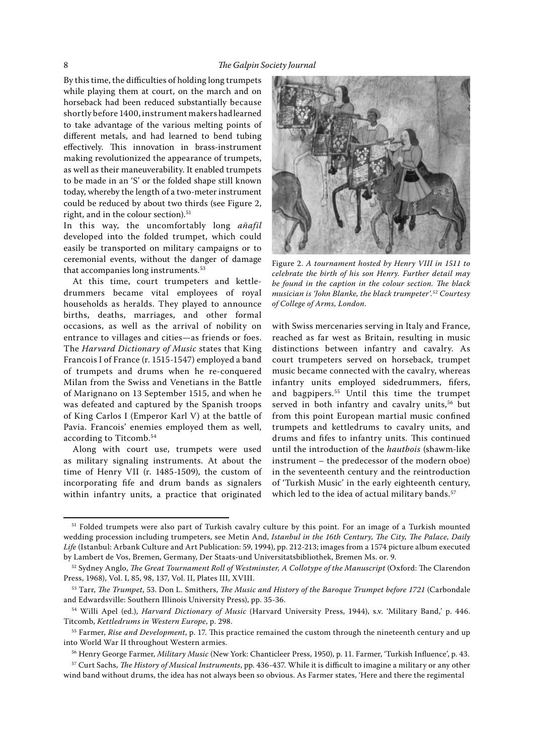By this time, the difficulties of holding long trumpets while playing them at court, on the march and on horseback had been reduced substantially because shortly before 1400, instrument makers had learned to take advantage of the various melting points of different metals, and had learned to bend tubing effectively. This innovation in brass-instrument making revolutionized the appearance of trumpets, as well as their maneuverability. It enabled trumpets to be made in an 'S' or the folded shape still known today, whereby the length of a two-meter instrument could be reduced by about two thirds (see Figure 2, right, and in the colour section).<sup>51</sup>

In this way, the uncomfortably long añafil developed into the folded trumpet, which could easily be transported on military campaigns or to ceremonial events, without the danger of damage that accompanies long instruments.<sup>53</sup>

At this time, court trumpeters and kettledrummers became vital employees of royal households as heralds. They played to announce births, deaths, marriages, and other formal occasions, as well as the arrival of nobility on entrance to villages and cities—as friends or foes. The Harvard Dictionary of Music states that King Francois I of France (r. 1515-1547) employed a band of trumpets and drums when he re-conquered Milan from the Swiss and Venetians in the Battle of Marignano on 13 September 1515, and when he was defeated and captured by the Spanish troops of King Carlos I (Emperor Karl V) at the battle of Pavia. Francois' enemies employed them as well, according to Titcomb.<sup>54</sup>

Along with court use, trumpets were used as military signaling instruments. At about the time of Henry VII (r. 1485-1509), the custom of incorporating fife and drum bands as signalers within infantry units, a practice that originated



Figure 2. A tournament hosted by Henry VIII in 1511 to celebrate the birth of his son Henry. Further detail may be found in the caption in the colour section. The black musician is 'John Blanke, the black trumpeter'.52 Courtesy of College of Arms, London.

with Swiss mercenaries serving in Italy and France, reached as far west as Britain, resulting in music distinctions between infantry and cavalry. As court trumpeters served on horseback, trumpet music became connected with the cavalry, whereas infantry units employed sidedrummers, fifers, and bagpipers.<sup>55</sup> Until this time the trumpet served in both infantry and cavalry units,<sup>56</sup> but from this point European martial music confined trumpets and kettledrums to cavalry units, and drums and fifes to infantry units. This continued until the introduction of the hautbois (shawm-like instrument – the predecessor of the modern oboe) in the seventeenth century and the reintroduction of 'Turkish Music' in the early eighteenth century, which led to the idea of actual military bands.<sup>57</sup>

<sup>51</sup> Folded trumpets were also part of Turkish cavalry culture by this point. For an image of a Turkish mounted wedding procession including trumpeters, see Metin And, Istanbul in the 16th Century, The City, The Palace, Daily Life (Istanbul: Arbank Culture and Art Publication: 59, 1994), pp. 212-213; images from a 1574 picture album executed by Lambert de Vos, Bremen, Germany, Der Staats-und Universitatsbibliothek, Bremen Ms. or. 9.

 $52$  Sydney Anglo, The Great Tournament Roll of Westminster, A Collotype of the Manuscript (Oxford: The Clarendon Press, 1968), Vol. I, 85, 98, 137, Vol. II, Plates III, XVIII.

 $53$  Tarr, The Trumpet, 53. Don L. Smithers, The Music and History of the Baroque Trumpet before 1721 (Carbondale and Edwardsville: Southern Illinois University Press), pp. 35-36.

<sup>54</sup> Willi Apel (ed.), Harvard Dictionary of Music (Harvard University Press, 1944), s.v. 'Military Band,' p. 446. Titcomb, Kettledrums in Western Europe, p. 298.

 $55$  Farmer, Rise and Development, p. 17. This practice remained the custom through the nineteenth century and up into World War II throughout Western armies.

<sup>&</sup>lt;sup>56</sup> Henry George Farmer, *Military Music* (New York: Chanticleer Press, 1950), p. 11. Farmer, 'Turkish Influence', p. 43.

<sup>&</sup>lt;sup>57</sup> Curt Sachs, The History of Musical Instruments, pp. 436-437. While it is difficult to imagine a military or any other wind band without drums, the idea has not always been so obvious. As Farmer states, 'Here and there the regimental